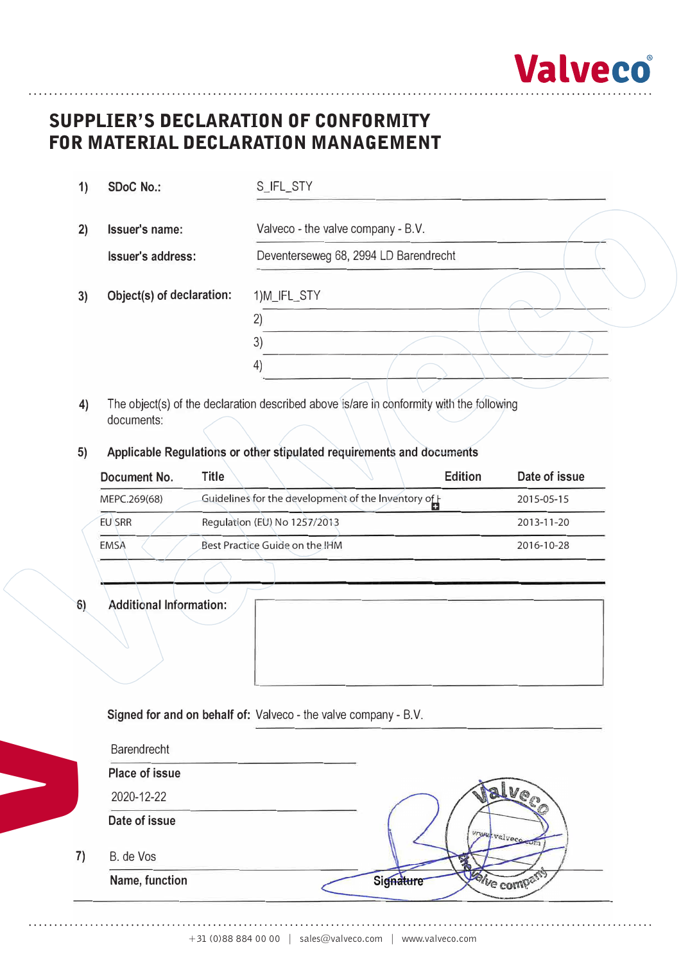

# **Supplier's Declaration of Conformity**  SUPPLIER'S DECLARATION OF CONFORMITY **for Material Declaration Management**  FOR MATERIAL DECLARATION MANAGEMENT

| 1) | <b>SDoC No.:</b>          | S_IFL_STY                             |  |  |  |  |  |
|----|---------------------------|---------------------------------------|--|--|--|--|--|
| 2) | Issuer's name:            | Valveco - the valve company - B.V.    |  |  |  |  |  |
|    | <b>Issuer's address:</b>  | Deventerseweg 68, 2994 LD Barendrecht |  |  |  |  |  |
| 3) | Object(s) of declaration: | 1)M_IFL_STY                           |  |  |  |  |  |
|    |                           | (2)                                   |  |  |  |  |  |
|    |                           | 3)                                    |  |  |  |  |  |
|    |                           | $\left( 4\right)$                     |  |  |  |  |  |

- 4) The object(s) of the declaration described above is/are in conformity with the following documents:
- **5) Applicable Regulations or other stipulated requirements and documents**

| Document No.  | Title<br><b>Edition</b>                            | Date of issue |
|---------------|----------------------------------------------------|---------------|
| MEPC.269(68)  | Guidelines for the development of the Inventory of | 2015-05-15    |
| <b>EU SRR</b> | Regulation (EU) No 1257/2013                       | 2013-11-20    |
| <b>EMSA</b>   | Best Practice Guide on the IHM                     | 2016-10-28    |

**6) Additional Information:**

**V**

|  | Signed for and on behalf of: Valveco - the valve company - B.V. |
|--|-----------------------------------------------------------------|
|--|-----------------------------------------------------------------|

| Barendrecht           |             |
|-----------------------|-------------|
| <b>Place of issue</b> |             |
| 2020-12-22            |             |
| Date of issue         | www.valveco |
| B. de Vos             |             |
| Name, function        | We com      |